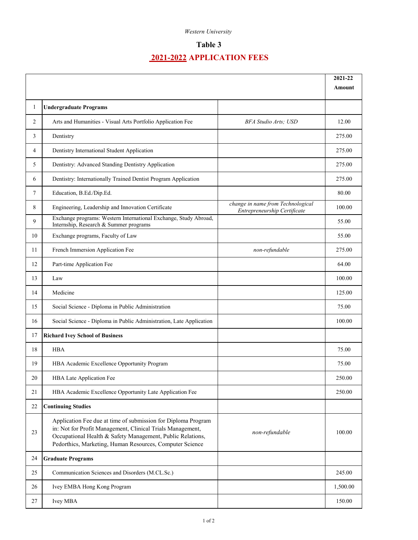### *Western University*

## **Table 3**

# **2021-2022 APPLICATION FEES**

|    |                                                                                                                                                                                                                                                       |                                                                   | 2021-22  |
|----|-------------------------------------------------------------------------------------------------------------------------------------------------------------------------------------------------------------------------------------------------------|-------------------------------------------------------------------|----------|
|    |                                                                                                                                                                                                                                                       |                                                                   | Amount   |
| 1  | <b>Undergraduate Programs</b>                                                                                                                                                                                                                         |                                                                   |          |
| 2  | Arts and Humanities - Visual Arts Portfolio Application Fee                                                                                                                                                                                           | <b>BFA Studio Arts; USD</b>                                       | 12.00    |
| 3  | Dentistry                                                                                                                                                                                                                                             |                                                                   | 275.00   |
| 4  | Dentistry International Student Application                                                                                                                                                                                                           |                                                                   | 275.00   |
| 5  | Dentistry: Advanced Standing Dentistry Application                                                                                                                                                                                                    |                                                                   | 275.00   |
| 6  | Dentistry: Internationally Trained Dentist Program Application                                                                                                                                                                                        |                                                                   | 275.00   |
| 7  | Education, B.Ed./Dip.Ed.                                                                                                                                                                                                                              |                                                                   | 80.00    |
| 8  | Engineering, Leadership and Innovation Certificate                                                                                                                                                                                                    | change in name from Technological<br>Entrepreneurship Certificate | 100.00   |
| 9  | Exchange programs: Western International Exchange, Study Abroad,<br>Internship, Research & Summer programs                                                                                                                                            |                                                                   | 55.00    |
| 10 | Exchange programs, Faculty of Law                                                                                                                                                                                                                     |                                                                   | 55.00    |
| 11 | French Immersion Application Fee                                                                                                                                                                                                                      | non-refundable                                                    | 275.00   |
| 12 | Part-time Application Fee                                                                                                                                                                                                                             |                                                                   | 64.00    |
| 13 | Law                                                                                                                                                                                                                                                   |                                                                   | 100.00   |
| 14 | Medicine                                                                                                                                                                                                                                              |                                                                   | 125.00   |
| 15 | Social Science - Diploma in Public Administration                                                                                                                                                                                                     |                                                                   | 75.00    |
| 16 | Social Science - Diploma in Public Administration, Late Application                                                                                                                                                                                   |                                                                   | 100.00   |
| 17 | <b>Richard Ivey School of Business</b>                                                                                                                                                                                                                |                                                                   |          |
| 18 | <b>HBA</b>                                                                                                                                                                                                                                            |                                                                   | 75.00    |
| 19 | HBA Academic Excellence Opportunity Program                                                                                                                                                                                                           |                                                                   | 75.00    |
| 20 | HBA Late Application Fee                                                                                                                                                                                                                              |                                                                   | 250.00   |
| 21 | HBA Academic Excellence Opportunity Late Application Fee                                                                                                                                                                                              |                                                                   | 250.00   |
| 22 | <b>Continuing Studies</b>                                                                                                                                                                                                                             |                                                                   |          |
| 23 | Application Fee due at time of submission for Diploma Program<br>in: Not for Profit Management, Clinical Trials Management,<br>Occupational Health & Safety Management, Public Relations,<br>Pedorthics, Marketing, Human Resources, Computer Science | non-refundable                                                    | 100.00   |
| 24 | <b>Graduate Programs</b>                                                                                                                                                                                                                              |                                                                   |          |
| 25 | Communication Sciences and Disorders (M.CL.Sc.)                                                                                                                                                                                                       |                                                                   | 245.00   |
| 26 | Ivey EMBA Hong Kong Program                                                                                                                                                                                                                           |                                                                   | 1,500.00 |
| 27 | Ivey MBA                                                                                                                                                                                                                                              |                                                                   | 150.00   |